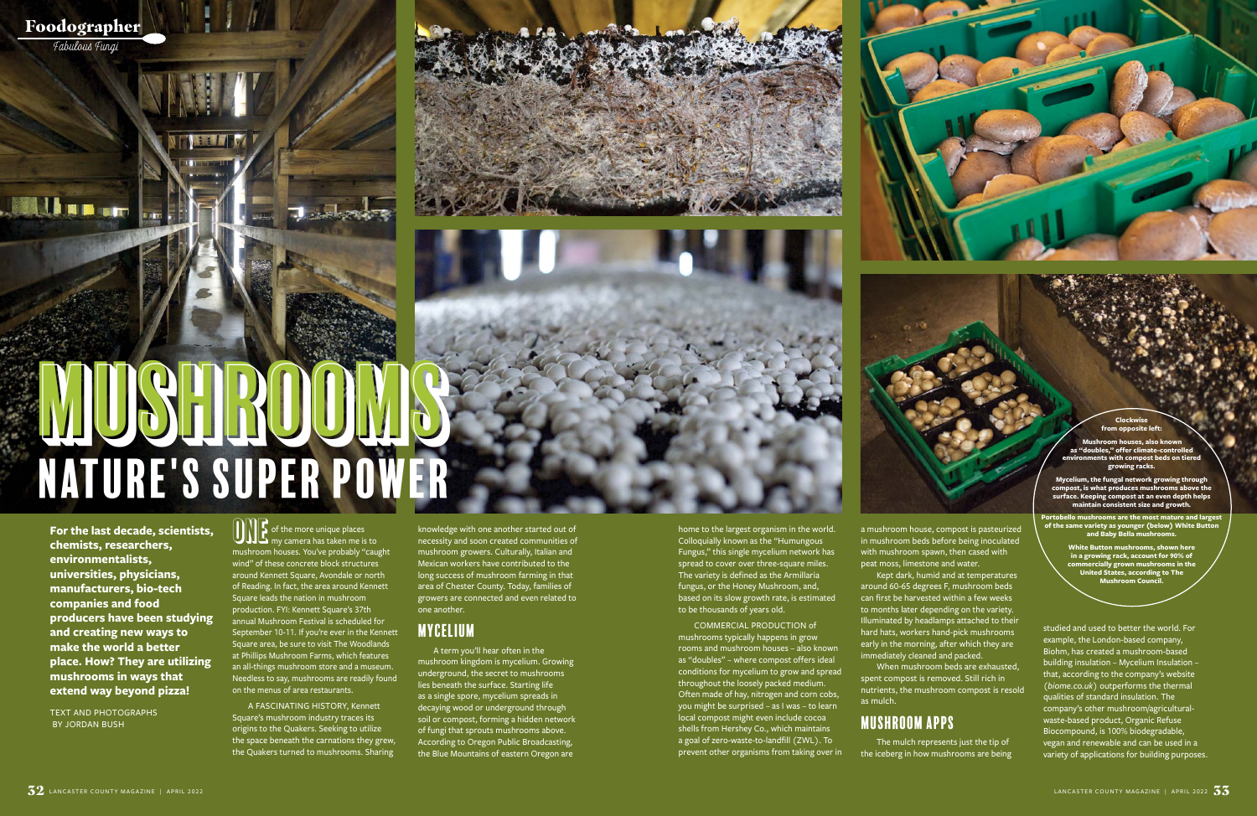Foodographer Fabulous Fungi

**BALLAR** 





**For the last decade, scientists, chemists, researchers, environmentalists, universities, physicians, manufacturers, bio-tech companies and food producers have been studying and creating new ways to make the world a better place. How? They are utilizing mushrooms in ways that extend way beyond pizza!** 

TEXT AND PHOTOGRAPHS BY JORDAN BUSH

home to the largest organism in the world. Colloquially known as the "Humungous Fungus," this single mycelium network has spread to cover over three-square miles. The variety is defined as the Armillaria fungus, or the Honey Mushroom, and, based on its slow growth rate, is estimated to be thousands of years old.

COMMERCIAL PRODUCTION of mushrooms typically happens in grow rooms and mushroom houses – also known as "doubles" – where compost offers ideal conditions for mycelium to grow and spread throughout the loosely packed medium. Often made of hay, nitrogen and corn cobs, you might be surprised – as I was – to learn local compost might even include cocoa shells from Hershey Co., which maintains a goal of zero-waste-to-landfill (ZWL). To prevent other organisms from taking over in

 $\begin{CD} \text{or} \ \text{or} \ \text{or} \ \text{or} \ \text{or} \ \text{or} \ \text{or} \ \text{or} \ \text{or} \ \text{or} \ \text{or} \ \text{or} \ \text{or} \ \text{or} \ \text{or} \ \text{or} \ \text{or} \ \text{or} \ \text{or} \ \text{or} \ \text{or} \ \text{or} \ \text{or} \ \text{or} \ \text{or} \ \text{or} \ \text{or} \ \text{or} \ \text{or} \ \text{or} \ \text{or} \ \text{or} \ \text{or} \ \text{or} \ \text{or} \ \text{or}$ mushroom houses. You've probably "caught wind" of these concrete block structures around Kennett Square, Avondale or north of Reading. In fact, the area around Kennett Square leads the nation in mushroom production. FYI: Kennett Square's 37th annual Mushroom Festival is scheduled for September 10-11. If you're ever in the Kennett Square area, be sure to visit The Woodlands at Phillips Mushroom Farms, which features an all-things mushroom store and a museum. Needless to say, mushrooms are readily found on the menus of area restaurants.

# Mushrooms Nature's Super Power Mushrooms

A FASCINATING HISTORY, Kennett Square's mushroom industry traces its origins to the Quakers. Seeking to utilize the space beneath the carnations they grew, the Quakers turned to mushrooms. Sharing

knowledge with one another started out of necessity and soon created communities of mushroom growers. Culturally, Italian and Mexican workers have contributed to the long success of mushroom farming in that area of Chester County. Today, families of growers are connected and even related to one another.

## Mycelium

A term you'll hear often in the mushroom kingdom is mycelium. Growing underground, the secret to mushrooms lies beneath the surface. Starting life as a single spore, mycelium spreads in decaying wood or underground through soil or compost, forming a hidden network of fungi that sprouts mushrooms above. According to Oregon Public Broadcasting, the Blue Mountains of eastern Oregon are

a mushroom house, compost is pasteurized in mushroom beds before being inoculated with mushroom spawn, then cased with peat moss, limestone and water.

Kept dark, humid and at temperatures around 60-65 degrees F, mushroom beds can first be harvested within a few weeks to months later depending on the variety. Illuminated by headlamps attached to their hard hats, workers hand-pick mushrooms early in the morning, after which they are immediately cleaned and packed. When mushroom beds are exhausted,

spent compost is removed. Still rich in nutrients, the mushroom compost is resold as mulch.

## Mushroom Apps

The mulch represents just the tip of the iceberg in how mushrooms are being studied and used to better the world. For example, the London-based company, Biohm, has created a mushroom-based building insulation – Mycelium Insulation – that, according to the company's website (*biome.co.uk*) outperforms the thermal qualities of standard insulation. The company's other mushroom/agriculturalwaste-based product, Organic Refuse Biocompound, is 100% biodegradable, vegan and renewable and can be used in a variety of applications for building purposes.

**Clockwise from opposite left:**

**Mushroom houses, also known**  as "doubles," offer climate-cor **environments with compost beds on tiered growing racks.** 

**Mycelium, the fungal network growing through compost, is what produces mushrooms above the surface. Keeping compost at an even depth helps maintain consistent size and growth.** 

**Portobello mushrooms are the most mature and largest of the same variety as younger (below) White Button and Baby Bella mushrooms.** 

> **White Button mushrooms, shown here in a growing rack, account for 90% of commercially grown mushrooms in the United States, according to The Mushroom Council.**